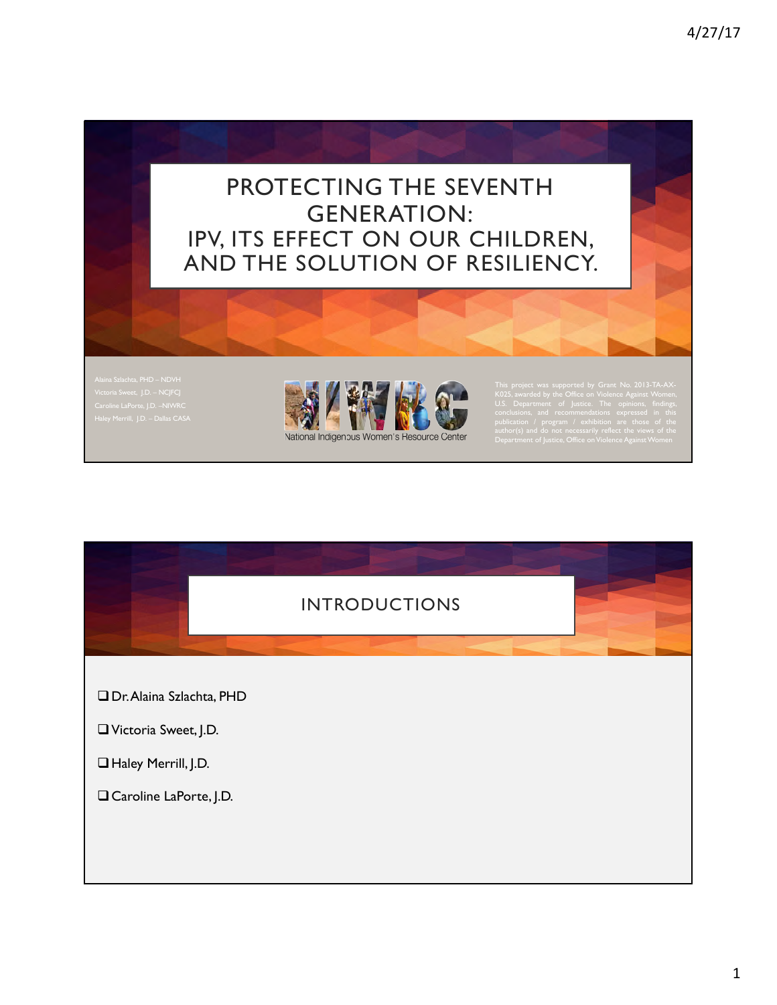# PROTECTING THE SEVENTH GENERATION: IPV, ITS EFFECT ON OUR CHILDREN, AND THE SOLUTION OF RESILIENCY.

Victoria Sweet, J.D. – NCJFCJ



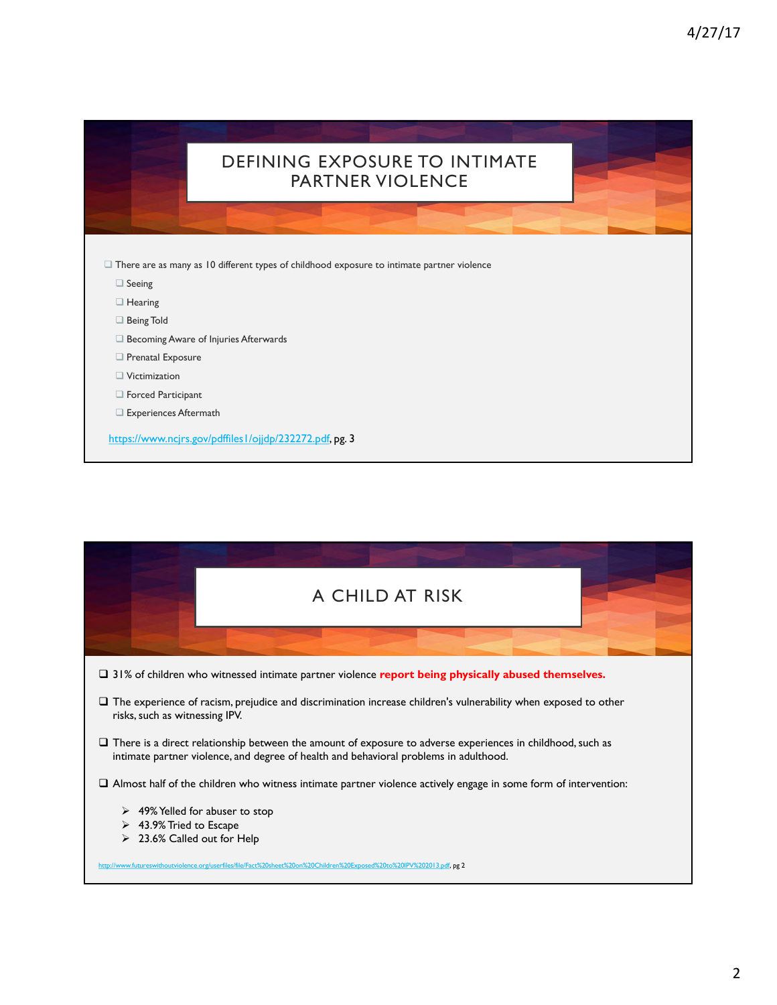|                      | <b>DEFINING EXPOSURE TO INTIMATE</b><br><b>PARTNER VIOLENCE</b>                                   |  |
|----------------------|---------------------------------------------------------------------------------------------------|--|
|                      |                                                                                                   |  |
|                      | $\Box$ There are as many as 10 different types of childhood exposure to intimate partner violence |  |
| $\Box$ Seeing        |                                                                                                   |  |
| $\Box$ Hearing       |                                                                                                   |  |
| Being Told           |                                                                                                   |  |
|                      | Becoming Aware of Injuries Afterwards                                                             |  |
|                      |                                                                                                   |  |
| Prenatal Exposure    |                                                                                                   |  |
| $\Box$ Victimization |                                                                                                   |  |
| Forced Participant   |                                                                                                   |  |

ı

| A CHILD AT RISK                                                                                                                                                                                            |  |  |  |  |
|------------------------------------------------------------------------------------------------------------------------------------------------------------------------------------------------------------|--|--|--|--|
|                                                                                                                                                                                                            |  |  |  |  |
| $\Box$ 31% of children who witnessed intimate partner violence report being physically abused themselves.                                                                                                  |  |  |  |  |
| $\Box$ The experience of racism, prejudice and discrimination increase children's vulnerability when exposed to other<br>risks, such as witnessing IPV.                                                    |  |  |  |  |
| $\Box$ There is a direct relationship between the amount of exposure to adverse experiences in childhood, such as<br>intimate partner violence, and degree of health and behavioral problems in adulthood. |  |  |  |  |
| $\Box$ Almost half of the children who witness intimate partner violence actively engage in some form of intervention:                                                                                     |  |  |  |  |
| $\geq$ 49% Yelled for abuser to stop<br>$\triangleright$ 43.9% Tried to Escape                                                                                                                             |  |  |  |  |
| 23.6% Called out for Help                                                                                                                                                                                  |  |  |  |  |
| http://www.futureswithoutviolence.org/userfiles/file/Fact%20sheet%20on%20Children%20Exposed%20to%20IPV%202013.pdf, pg 2                                                                                    |  |  |  |  |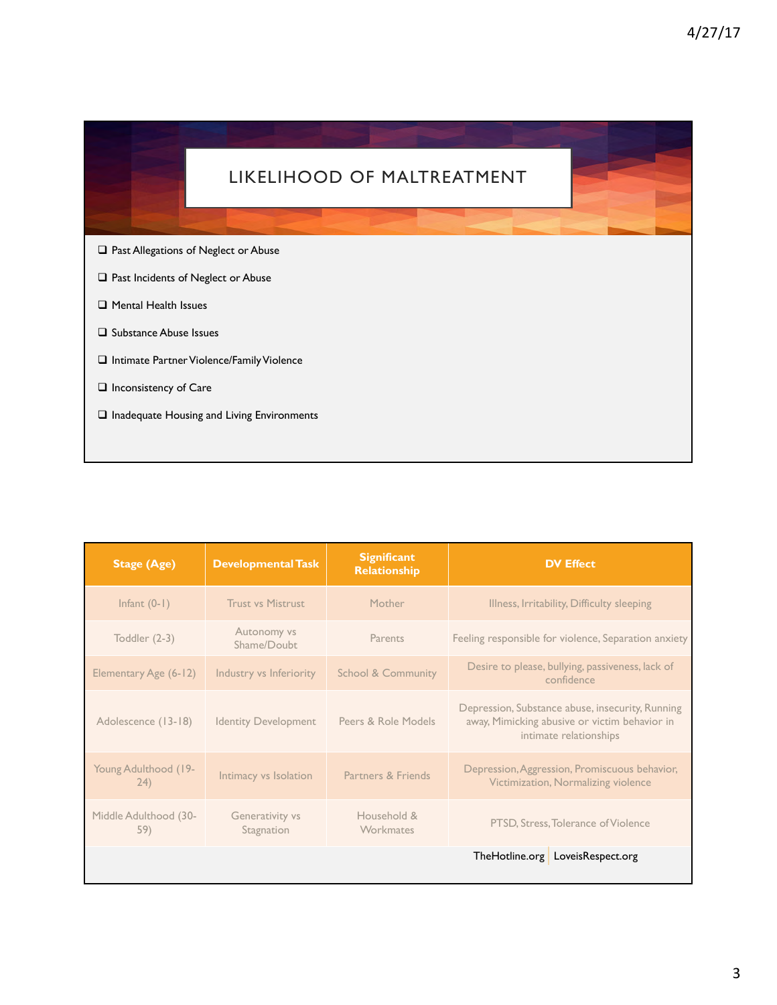

 $\Box$  Inadequate Housing and Living Environments

| <b>Stage (Age)</b>           | <b>Developmental Task</b>     | <b>Significant</b><br>Relationship | <b>DV Effect</b>                                                                                                            |
|------------------------------|-------------------------------|------------------------------------|-----------------------------------------------------------------------------------------------------------------------------|
| Infant $(0-1)$               | <b>Trust vs Mistrust</b>      | Mother                             | Illness, Irritability, Difficulty sleeping                                                                                  |
| Toddler (2-3)                | Autonomy vs<br>Shame/Doubt    | Parents                            | Feeling responsible for violence, Separation anxiety                                                                        |
| Elementary Age (6-12)        | Industry vs Inferiority       | <b>School &amp; Community</b>      | Desire to please, bullying, passiveness, lack of<br>confidence                                                              |
| Adolescence (13-18)          | <b>Identity Development</b>   | Peers & Role Models                | Depression, Substance abuse, insecurity, Running<br>away, Mimicking abusive or victim behavior in<br>intimate relationships |
| Young Adulthood (19-<br>(24) | Intimacy vs Isolation         | Partners & Friends                 | Depression, Aggression, Promiscuous behavior,<br>Victimization, Normalizing violence                                        |
| Middle Adulthood (30-<br>59) | Generativity vs<br>Stagnation | Household &<br>Workmates           | PTSD, Stress, Tolerance of Violence                                                                                         |
|                              |                               |                                    | TheHotline.org LoveisRespect.org                                                                                            |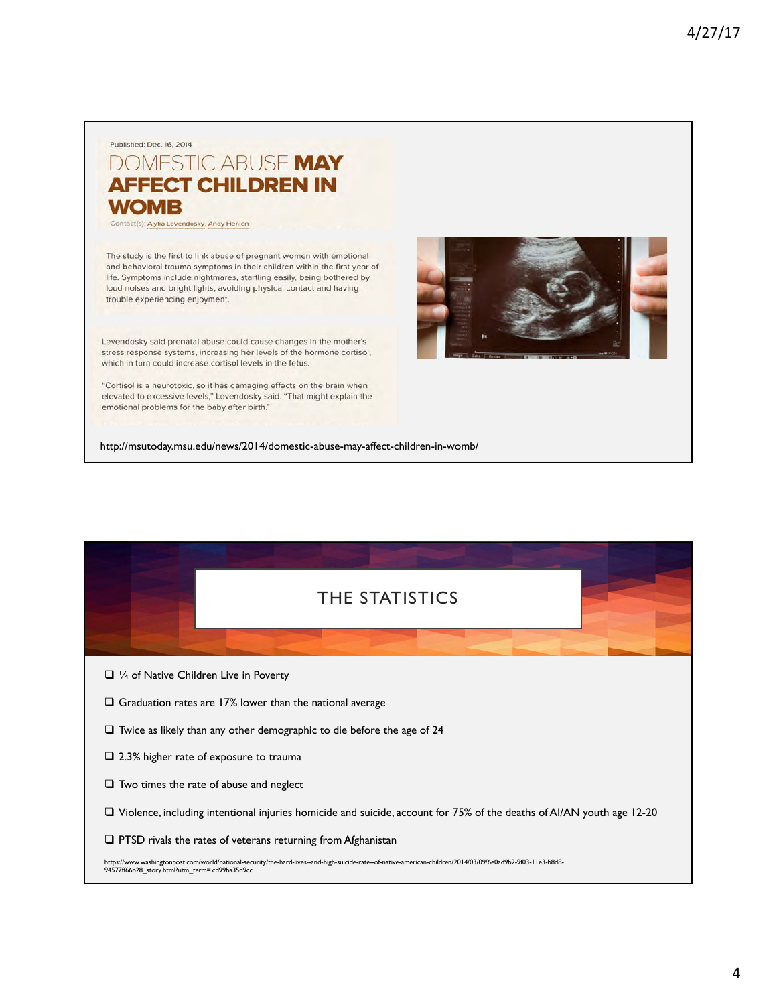#### Published: Dec. 16, 2014 DOMESTIC ABUSE MAY **AFFECT CHILDREN IN WOMB**

Contact(s): Alytia Levendosky, Andy Henion

The study is the first to link abuse of pregnant women with emotional and behavioral trauma symptoms in their children within the first year of life. Symptoms include nightmares, startling easily, being bothered by loud noises and bright lights, avoiding physical contact and having trouble experiencing enjoyment.

Levendosky said prenatal abuse could cause changes in the mother's stress response systems, increasing her levels of the hormone cortisol, which in turn could increase cortisol levels in the fetus.

"Cortisol is a neurotoxic, so it has damaging effects on the brain when elevated to excessive levels," Levendosky said. "That might explain the emotional problems for the baby after birth."

http://msutoday.msu.edu/news/2014/domestic-abuse-may-affect-children-in-womb/

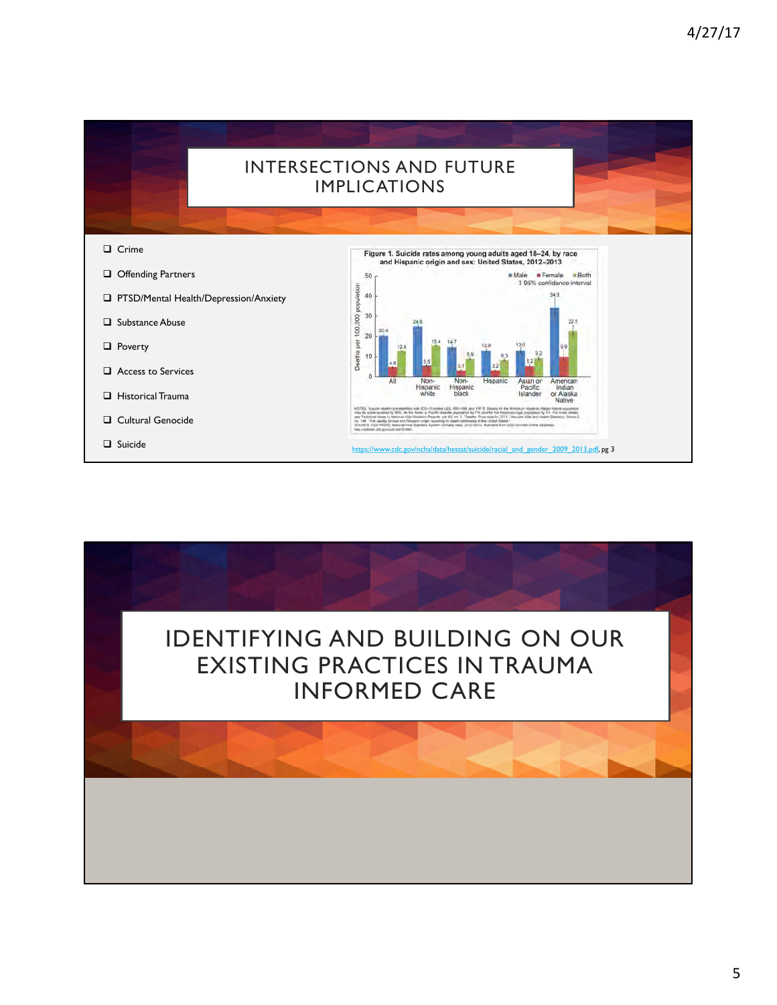

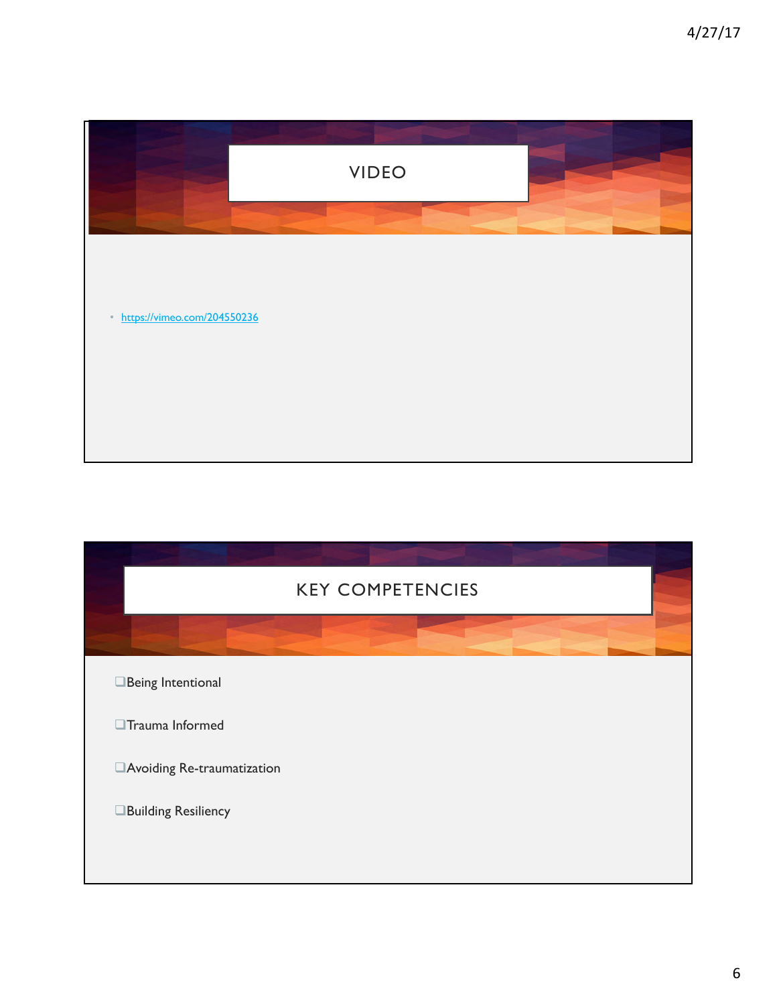

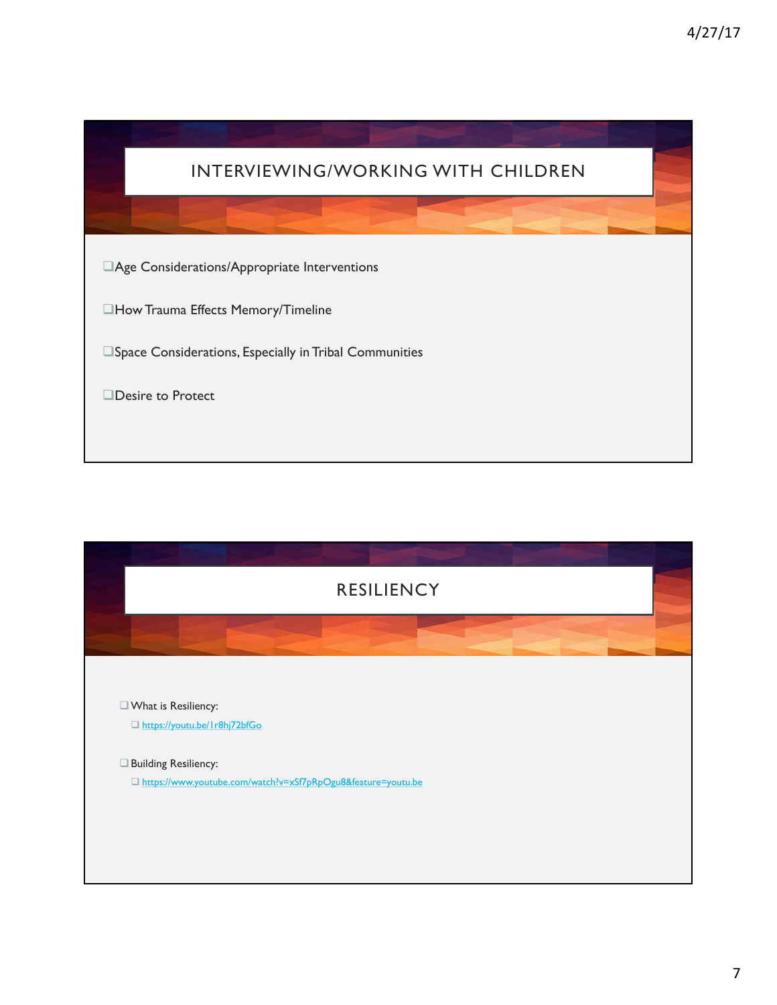

| <b>RESILIENCY</b>                                             |  |
|---------------------------------------------------------------|--|
|                                                               |  |
|                                                               |  |
| What is Resiliency:                                           |  |
| □ https://youtu.be/1r8hj72bfGo                                |  |
| Building Resiliency:                                          |  |
| Ohttps://www.youtube.com/watch?v=xSf7pRpOgu8&feature=youtu.be |  |
|                                                               |  |
|                                                               |  |
|                                                               |  |
|                                                               |  |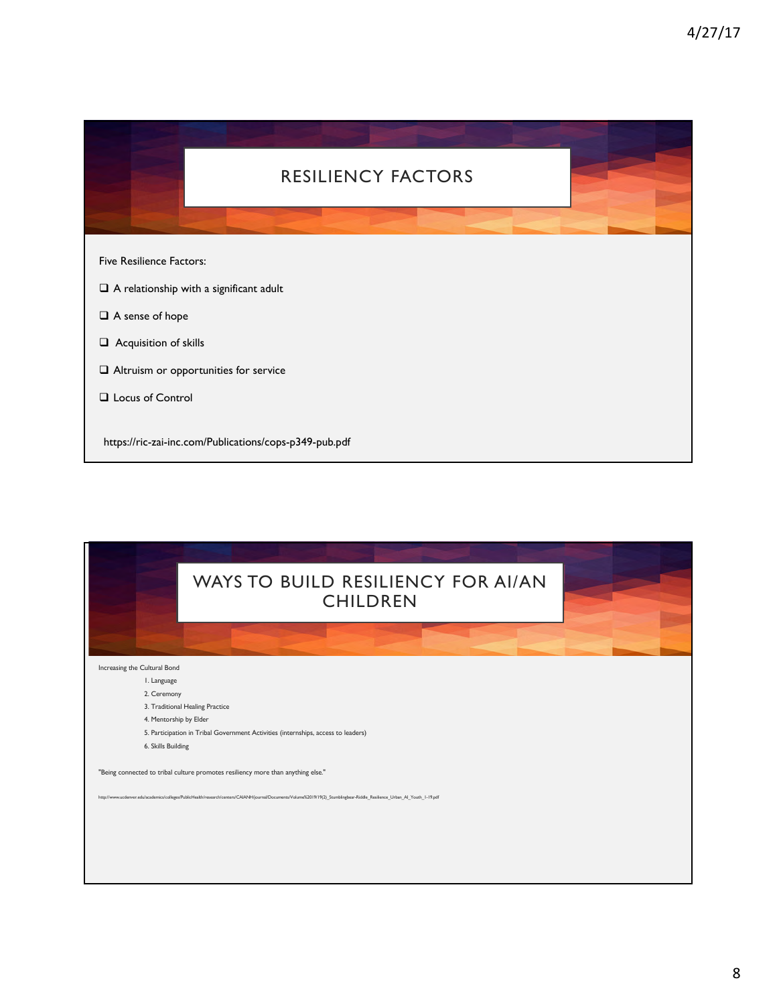![](_page_7_Picture_1.jpeg)

| WAYS TO BUILD RESILIENCY FOR AI/AN<br><b>CHILDREN</b>                                                                                                                       |  |
|-----------------------------------------------------------------------------------------------------------------------------------------------------------------------------|--|
|                                                                                                                                                                             |  |
| Increasing the Cultural Bond                                                                                                                                                |  |
| I. Language                                                                                                                                                                 |  |
| 2. Ceremony                                                                                                                                                                 |  |
| 3. Traditional Healing Practice                                                                                                                                             |  |
| 4. Mentorship by Elder                                                                                                                                                      |  |
| 5. Participation in Tribal Government Activities (internships, access to leaders)                                                                                           |  |
| 6. Skills Building                                                                                                                                                          |  |
| "Being connected to tribal culture promotes resiliency more than anything else."                                                                                            |  |
| http://www.ucdenver.edu/academics/colleges/PublicHealth/research/centers/CAIANH/journal/Documents/Volume%2019/19(2) Stumblingbear-Riddle Resilience Urban AI Youth 1-19.pdf |  |
|                                                                                                                                                                             |  |
|                                                                                                                                                                             |  |
|                                                                                                                                                                             |  |
|                                                                                                                                                                             |  |
|                                                                                                                                                                             |  |
|                                                                                                                                                                             |  |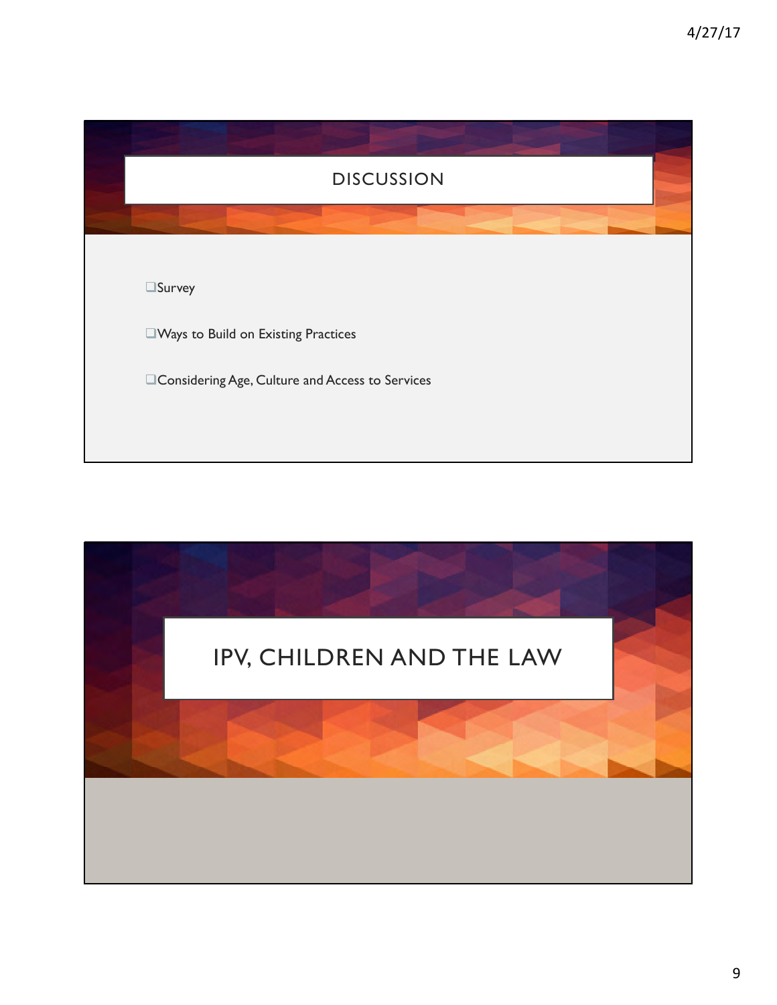![](_page_8_Picture_1.jpeg)

![](_page_8_Picture_2.jpeg)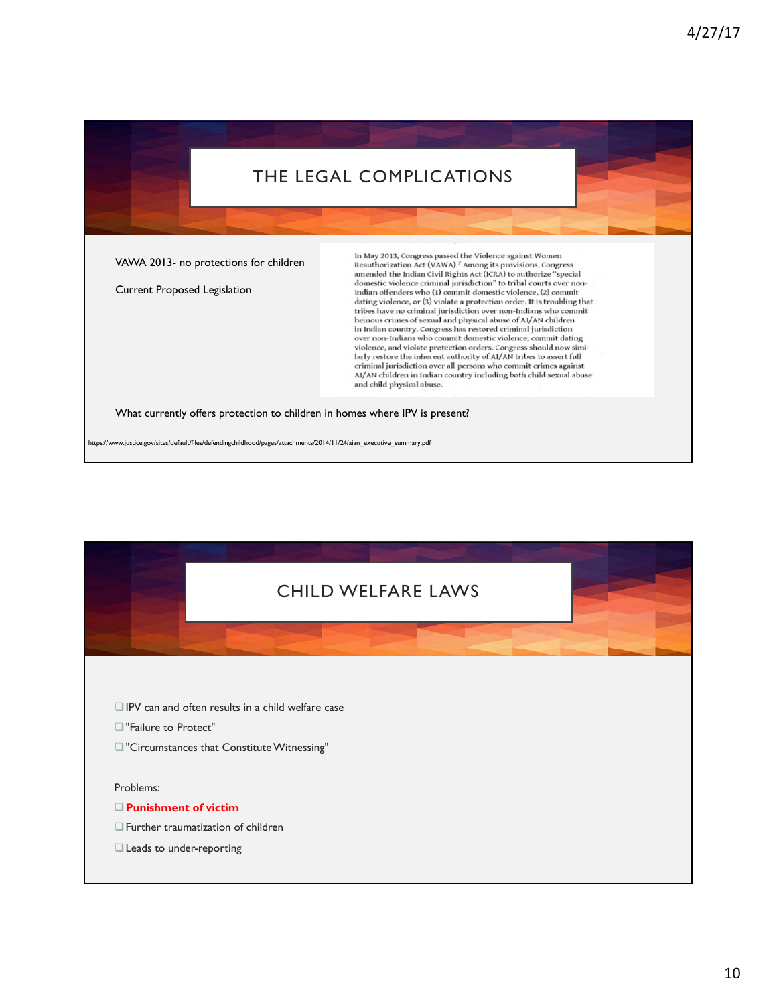## THE LEGAL COMPLICATIONS

VAWA 2013- no protections for children

Current Proposed Legislation

In May 2013, Congress passed the Violence against Women Reauthorization Act (VAWA).<sup>7</sup> Among its provisions, Congress amended the Indian Civil Rights Act (ICRA) to authorize "special domestic violence criminal jurisdiction" to tribal courts over non-<br>Indian offenders who (1) commit domestic violence, (2) commit dating violence, or (3) violate a protection order. It is troubling that tribes have no criminal jurisdiction over non-Indians who commit heinous crimes of sexual and physical abuse of AI/AN children<br>in Indian country. Congress has restored criminal jurisdiction over non-Indians who commit domestic violence, commit dating violence, and violate protection orders. Congress should now similarly restore the inherent authority of AI/AN tribes to assert full<br>criminal jurisdiction over all persons who commit crimes against AI/AN children in Indian country including both child sexual abuse and child physical abuse.

What currently offers protection to children in homes where IPV is present?

https://www.justice.gov/sites/default/files/defendingchildhood/pages/attachments/2014/11/24/aian\_executive\_summary.pdf

![](_page_9_Picture_7.jpeg)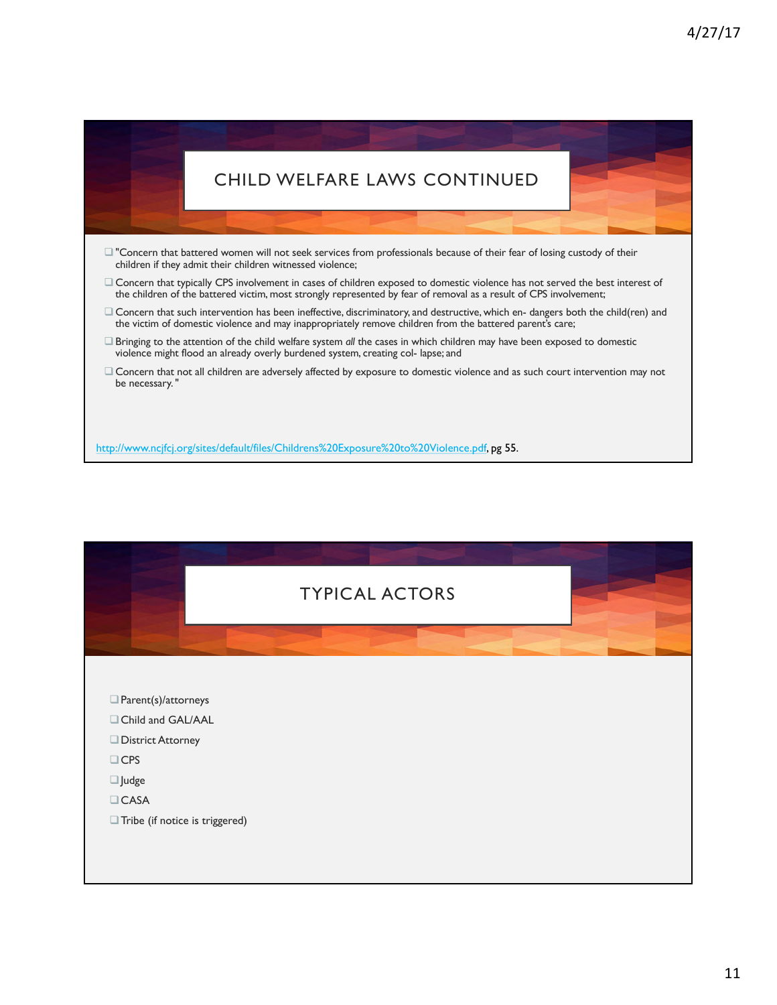# CHILD WELFARE LAWS CONTINUED

- $\square$  "Concern that battered women will not seek services from professionals because of their fear of losing custody of their children if they admit their children witnessed violence;
- $\Box$  Concern that typically CPS involvement in cases of children exposed to domestic violence has not served the best interest of the children of the battered victim, most strongly represented by fear of removal as a result of CPS involvement;
- $\Box$  Concern that such intervention has been ineffective, discriminatory, and destructive, which en- dangers both the child(ren) and the victim of domestic violence and may inappropriately remove children from the battered parent's care;
- □ Bringing to the attention of the child welfare system *all* the cases in which children may have been exposed to domestic violence might flood an already overly burdened system, creating col- lapse; and
- Concern that not all children are adversely affected by exposure to domestic violence and as such court intervention may not be necessary. "

http://www.ncjfcj.org/sites/default/files/Childrens%20Exposure%20to%20Violence.pdf, pg 55.

![](_page_10_Figure_8.jpeg)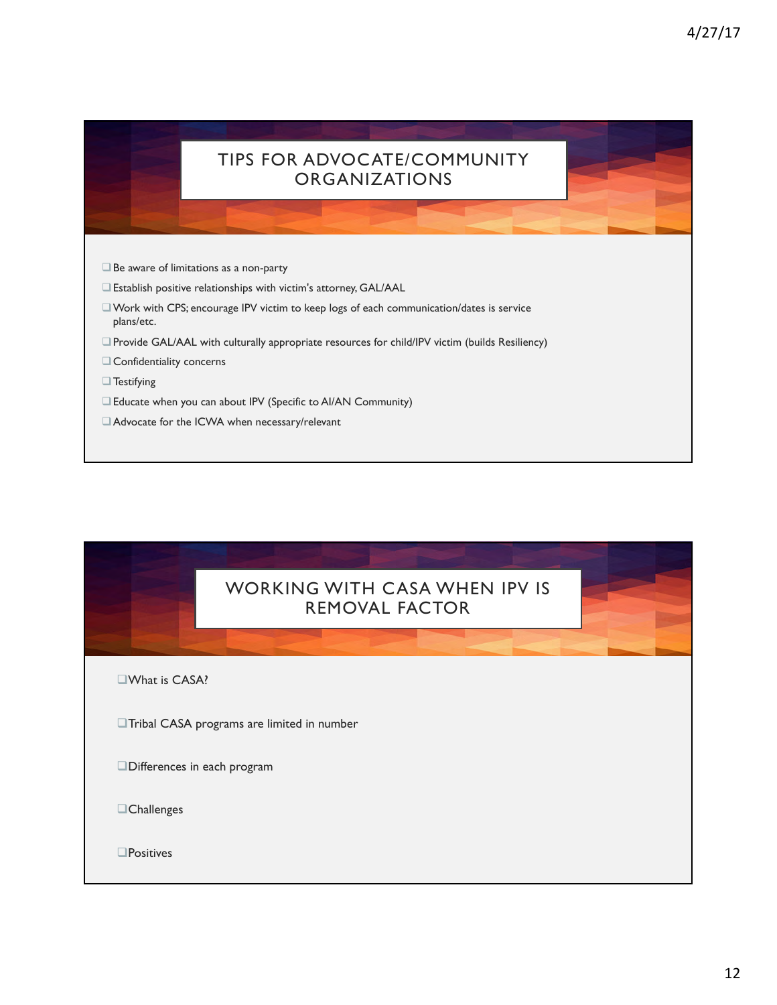### TIPS FOR ADVOCATE/COMMUNITY ORGANIZATIONS

- $\square$  Be aware of limitations as a non-party
- $\square$  Establish positive relationships with victim's attorney, GAL/AAL
- $\square$  Work with CPS; encourage IPV victim to keep logs of each communication/dates is service plans/etc.
- □ Provide GAL/AAL with culturally appropriate resources for child/IPV victim (builds Resiliency)
- $\Box$  Confidentiality concerns
- $\Box$  Testifying
- □ Educate when you can about IPV (Specific to AI/AN Community)
- □ Advocate for the ICWA when necessary/relevant

#### WORKING WITH CASA WHEN IPV IS REMOVAL FACTOR

 $\square$ What is CASA?

 $\Box$ Tribal CASA programs are limited in number

Differences in each program

 $\Box$ Challenges

 $\square$ Positives